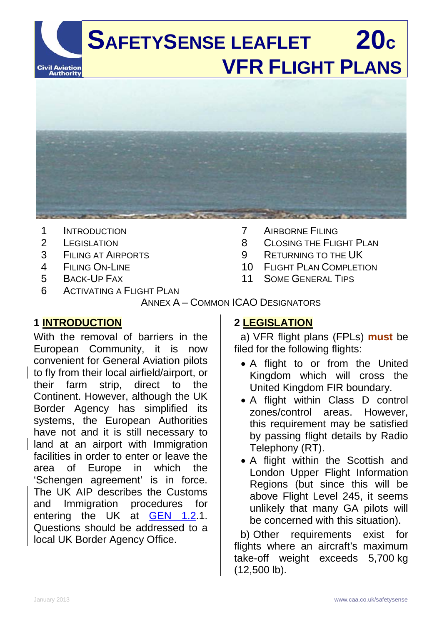

- 1 INTRODUCTION
- 2 LEGISLATION
- 3 FILING AT AIRPORTS
- 4 FILING ON-LINE
- 5 BACK-UP FAX
- 6 ACTIVATING A FLIGHT PLAN
- 7 AIRBORNE FILING
- 8 CLOSING THE FLIGHT PLAN
- 9 RETURNING TO THE UK
- 10 FLIGHT PLAN COMPLETION
- 11 SOME GENERAL TIPS

### ANNEX A – COMMON ICAO DESIGNATORS

### **1 INTRODUCTION**

With the removal of barriers in the European Community, it is now convenient for General Aviation pilots to fly from their local airfield/airport, or their farm strip, direct to the Continent. However, although the UK Border Agency has simplified its systems, the European Authorities have not and it is still necessary to land at an airport with Immigration facilities in order to enter or leave the area of Europe in which the 'Schengen agreement' is in force. The UK AIP describes the Customs and Immigration procedures for entering the UK at <u>GEN 1.2</u>.1. Questions should be addressed to a local UK Border Agency Office.

## **2 LEGISLATION**

a) VFR flight plans (FPLs) **must** be filed for the following flights:

- A flight to or from the United Kingdom which will cross the United Kingdom FIR boundary.
- A flight within Class D control zones/control areas. However, this requirement may be satisfied by passing flight details by Radio Telephony (RT).
- A flight within the Scottish and London Upper Flight Information Regions (but since this will be above Flight Level 245, it seems unlikely that many GA pilots will be concerned with this situation).

b) Other requirements exist for flights where an aircraft's maximum take-off weight exceeds 5,700 kg (12,500 lb).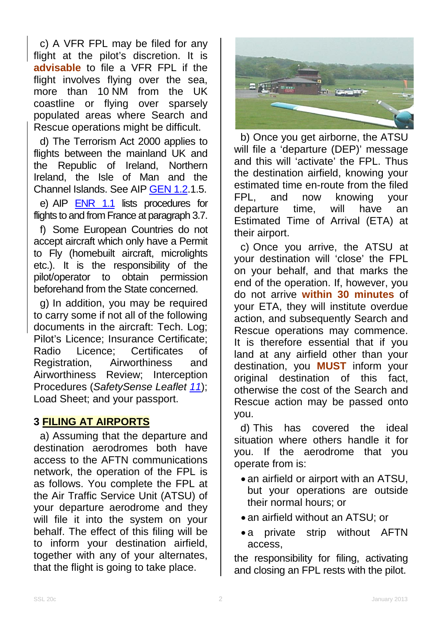c) A VFR FPL may be filed for any flight at the pilot's discretion. It is **advisable** to file a VFR FPL if the flight involves flying over the sea, more than 10 NM from the UK coastline or flying over sparsely populated areas where Search and Rescue operations might be difficult.

d) The Terrorism Act 2000 applies to flights between the mainland UK and the Republic of Ireland, Northern Ireland, the Isle of Man and the Channel Islands. See AIP [GEN](http://www.nats-uk.ead-it.com/public/index.php%3Foption=com_content&task=blogcategory&id=3&Itemid=10.html) 1.2.1.5. e) AIP **[ENR 1.1](http://www.nats-uk.ead-it.com/public/index.php%3Foption=com_content&task=blogcategory&id=4&Itemid=11.html)** lists procedures for flights to and from France at paragraph 3.7.

f) Some European Countries do not accept aircraft which only have a Permit to Fly (homebuilt aircraft, microlights etc.). It is the responsibility of the pilot/operator to obtain permission beforehand from the State concerned.

g) In addition, you may be required to carry some if not all of the following documents in the aircraft: Tech. Log; Pilot's Licence; Insurance Certificate; Radio Licence; Certificates of Registration, Airworthiness and Airworthiness Review; Interception Procedures (*SafetySense Leaflet [11](http://www.caa.co.uk/safetysenseleaflet11)*); Load Sheet; and your passport.

### **3 FILING AT AIRPORTS**

a) Assuming that the departure and destination aerodromes both have access to the AFTN communications network, the operation of the FPL is as follows. You complete the FPL at the Air Traffic Service Unit (ATSU) of your departure aerodrome and they will file it into the system on your behalf. The effect of this filing will be to inform your destination airfield, together with any of your alternates, that the flight is going to take place.



b) Once you get airborne, the ATSU will file a 'departure (DEP)' message and this will 'activate' the FPL. Thus the destination airfield, knowing your estimated time en-route from the filed FPL, and now knowing your departure time, will have an Estimated Time of Arrival (ETA) at their airport.

c) Once you arrive, the ATSU at your destination will 'close' the FPL on your behalf, and that marks the end of the operation. If, however, you do not arrive **within 30 minutes** of your ETA, they will institute overdue action, and subsequently Search and Rescue operations may commence. It is therefore essential that if you land at any airfield other than your destination, you **MUST** inform your original destination of this fact, otherwise the cost of the Search and Rescue action may be passed onto you.

d) This has covered the ideal situation where others handle it for you. If the aerodrome that you operate from is:

- an airfield or airport with an ATSU, but your operations are outside their normal hours; or
- an airfield without an ATSU; or
- a private strip without AFTN access,

the responsibility for filing, activating and closing an FPL rests with the pilot.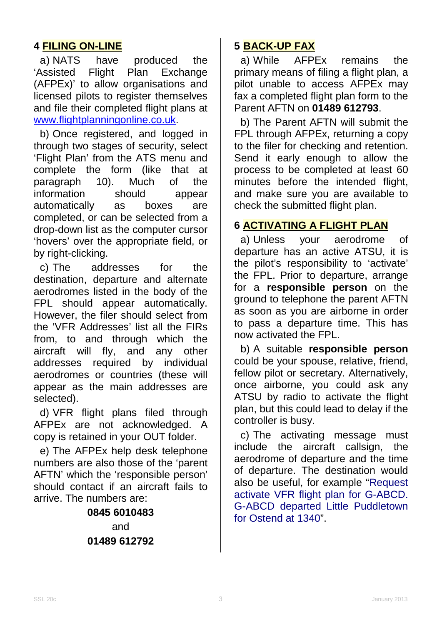## **4 FILING ON-LINE**

a) NATS have produced the<br>Assisted Flight Plan Exchange 'Assisted Flight Plan Exchange (AFPEx)' to allow organisations and licensed pilots to register themselves and file their completed flight plans at [www.flightplanningonline.co.uk.](http://www.flightplanningonline.co.uk/)

b) Once registered, and logged in through two stages of security, select 'Flight Plan' from the ATS menu and complete the form (like that at paragraph 10). Much of the information should appear automatically as boxes are completed, or can be selected from a drop-down list as the computer cursor 'hovers' over the appropriate field, or by right-clicking.

 c) The addresses for the destination, departure and alternate aerodromes listed in the body of the FPL should appear automatically. However, the filer should select from the 'VFR Addresses' list all the FIRs from, to and through which the aircraft will fly, and any other addresses required by individual aerodromes or countries (these will appear as the main addresses are selected).

d) VFR flight plans filed through AFPEx are not acknowledged. A copy is retained in your OUT folder.

e) The AFPEx help desk telephone numbers are also those of the 'parent AFTN' which the 'responsible person' should contact if an aircraft fails to arrive. The numbers are:

> **0845 6010483** and **01489 612792**

## **5 BACK-UP FAX**

a) While AFPEx remains the primary means of filing a flight plan, a pilot unable to access AFPEx may fax a completed flight plan form to the Parent AFTN on **01489 612793**.

b) The Parent AFTN will submit the FPL through AFPEx, returning a copy to the filer for checking and retention. Send it early enough to allow the process to be completed at least 60 minutes before the intended flight, and make sure you are available to check the submitted flight plan.

## **6 ACTIVATING A FLIGHT PLAN**

a) Unless your aerodrome of departure has an active ATSU, it is the pilot's responsibility to 'activate' the FPL. Prior to departure, arrange for a **responsible person** on the ground to telephone the parent AFTN as soon as you are airborne in order to pass a departure time. This has now activated the FPL.

b) A suitable **responsible person** could be your spouse, relative, friend, fellow pilot or secretary. Alternatively, once airborne, you could ask any ATSU by radio to activate the flight plan, but this could lead to delay if the controller is busy.

c) The activating message must include the aircraft callsign, the aerodrome of departure and the time of departure. The destination would also be useful, for example "Request activate VFR flight plan for G-ABCD. G-ABCD departed Little Puddletown for Ostend at 1340".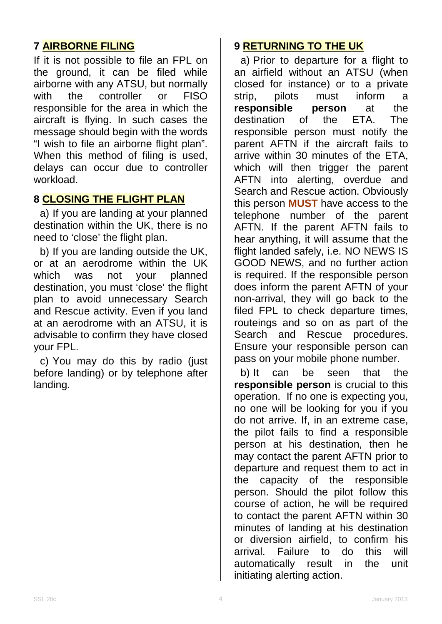## **7 AIRBORNE FILING**

If it is not possible to file an FPL on the ground, it can be filed while airborne with any ATSU, but normally<br>with the controller or FISO with the controller or responsible for the area in which the aircraft is flying. In such cases the message should begin with the words "I wish to file an airborne flight plan". When this method of filing is used, delays can occur due to controller workload.

### **8 CLOSING THE FLIGHT PLAN**

a) If you are landing at your planned destination within the UK, there is no need to 'close' the flight plan.

b) If you are landing outside the UK, or at an aerodrome within the UK which was not your planned destination, you must 'close' the flight plan to avoid unnecessary Search and Rescue activity. Even if you land at an aerodrome with an ATSU, it is advisable to confirm they have closed your FPL.

c) You may do this by radio (just before landing) or by telephone after landing.

## **9 RETURNING TO THE UK**

a) Prior to departure for a flight to an airfield without an ATSU (when closed for instance) or to a private strip, pilots must inform a **responsible person** at the destination of the ETA. The destination of the ETA. The responsible person must notify the parent AFTN if the aircraft fails to arrive within 30 minutes of the ETA, which will then trigger the parent AFTN into alerting, overdue and Search and Rescue action. Obviously this person **MUST** have access to the telephone number of the parent AFTN. If the parent AFTN fails to hear anything, it will assume that the flight landed safely, i.e. NO NEWS IS GOOD NEWS, and no further action is required. If the responsible person does inform the parent AFTN of your non-arrival, they will go back to the filed FPL to check departure times, routeings and so on as part of the Search and Rescue procedures. Ensure your responsible person can pass on your mobile phone number.

b) It can be seen that the **responsible person** is crucial to this operation. If no one is expecting you, no one will be looking for you if you do not arrive. If, in an extreme case, the pilot fails to find a responsible person at his destination, then he may contact the parent AFTN prior to departure and request them to act in the capacity of the responsible person. Should the pilot follow this course of action, he will be required to contact the parent AFTN within 30 minutes of landing at his destination or diversion airfield, to confirm his arrival. Failure to do this will automatically result in the unit initiating alerting action.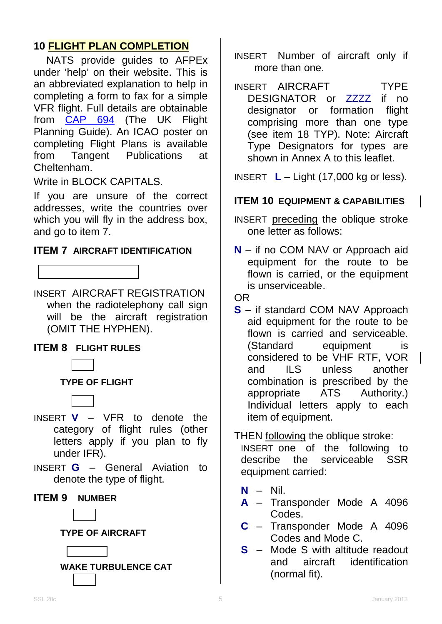## **10 FLIGHT PLAN COMPLETION**

NATS provide guides to AFPEx under 'help' on their website. This is an abbreviated explanation to help in completing a form to fax for a simple VFR flight. Full details are obtainable from <u>[CAP 694](http://www.caa.co.uk/cap694)</u> (The UK Flight Planning Guide). An ICAO poster on completing Flight Plans is available from Tangent Publications at Cheltenham.

Write in BLOCK CAPITALS.

If you are unsure of the correct addresses, write the countries over which you will fly in the address box, and go to item 7.

#### **ITEM 7 AIRCRAFT IDENTIFICATION**

INSERT AIRCRAFT REGISTRATION when the radiotelephony call sign will be the aircraft registration (OMIT THE HYPHEN).

### **ITEM 8 FLIGHT RULES**



**TYPE OF FLIGHT**

- INSERT **V** VFR to denote the category of flight rules (other letters apply if you plan to fly under IFR).
- INSERT **G** General Aviation to denote the type of flight.

#### **ITEM 9 NUMBER**



**TYPE OF AIRCRAFT**





- INSERT Number of aircraft only if more than one.
- INSERT AIRCRAFT **TYPE** DESIGNATOR or ZZZZ if no designator or formation flight comprising more than one type (see item 18 TYP). Note: Aircraft Type Designators for types are shown in Annex A to this leaflet.

INSERT **L** – Light (17,000 kg or less).

### **ITEM 10 EQUIPMENT & CAPABILITIES**

INSERT preceding the oblique stroke one letter as follows:

**N** – if no COM NAV or Approach aid equipment for the route to be flown is carried, or the equipment is unserviceable.

#### OR

**S** – if standard COM NAV Approach aid equipment for the route to be flown is carried and serviceable. (Standard equipment is considered to be VHF RTF, VOR and ILS unless another combination is prescribed by the appropriate ATS Authority.) Individual letters apply to each item of equipment.

### THEN following the oblique stroke:

INSERT one of the following to<br>describe the serviceable SSR describe the serviceable SSR equipment carried:

- **N** Nil.
- **A** Transponder Mode A 4096 Codes.
- **C** Transponder Mode A 4096 Codes and Mode C.
- **S** Mode S with altitude readout<br>and aircraft identification and aircraft identification (normal fit).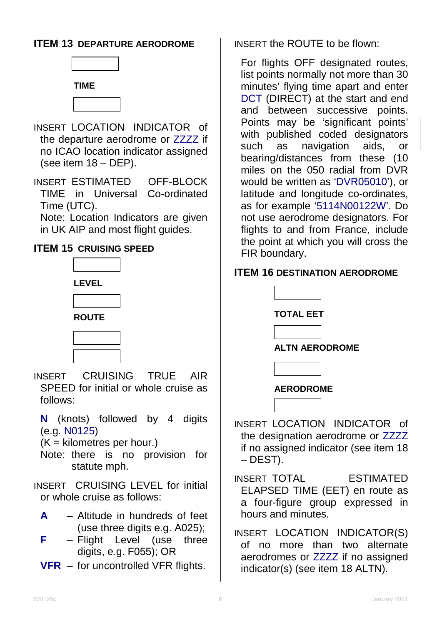### **ITEM 13 DEPARTURE AERODROME**





- INSERT LOCATION INDICATOR of the departure aerodrome or ZZZZ if no ICAO location indicator assigned (see item 18 – DEP).
- INSERT ESTIMATED OFF-BLOCK<br>TIME in Universal Co-ordinated TIME in Universal Time (UTC).

Note: Location Indicators are given in UK AIP and most flight guides.

### **ITEM 15 CRUISING SPEED**



- INSERT CRUISING TRUE AIR SPEED for initial or whole cruise as follows:
	- **N** (knots) followed by 4 digits (e.g. N0125)

 $(K =$  kilometres per hour.)

Note: there is no provision for statute mph.

INSERT CRUISING LEVEL for initial or whole cruise as follows:

- **A** Altitude in hundreds of feet (use three digits e.g. A025);
- **F** Flight Level (use three digits, e.g. F055); OR
- **VFR** for uncontrolled VFR flights.

INSERT the ROUTE to be flown:

For flights OFF designated routes, list points normally not more than 30 minutes' flying time apart and enter DCT (DIRECT) at the start and end and between successive points. Points may be 'significant points' with published coded designators<br>such as navigation aids. or such as navigation aids, or bearing/distances from these (10 miles on the 050 radial from DVR would be written as 'DVR05010'), or latitude and longitude co-ordinates, as for example '5114N00122W'. Do not use aerodrome designators. For flights to and from France, include the point at which you will cross the FIR boundary.

### **ITEM 16 DESTINATION AERODROME**



INSERT LOCATION INDICATOR of the designation aerodrome or ZZZZ if no assigned indicator (see item 18 – DEST).

INSERT TOTAL ESTIMATED ELAPSED TIME (EET) en route as a four-figure group expressed in hours and minutes.

INSERT LOCATION INDICATOR(S) of no more than two alternate aerodromes or ZZZZ if no assigned indicator(s) (see item 18 ALTN).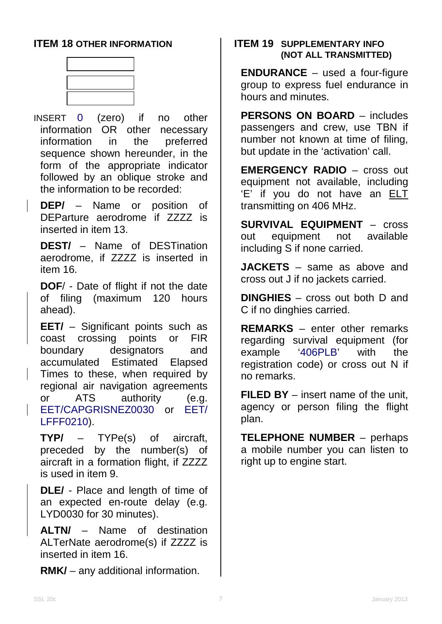### **ITEM 18 OTHER INFORMATION**



INSERT 0 (zero) if no other information OR other necessary information in the preferred sequence shown hereunder, in the form of the appropriate indicator followed by an oblique stroke and the information to be recorded:

**DEP/** – Name or position of DEParture aerodrome if ZZZZ is inserted in item 13.

**DEST/** – Name of DESTination aerodrome, if ZZZZ is inserted in item 16.

**DOF**/ - Date of flight if not the date of filing (maximum 120 hours ahead).

**EET/** – Significant points such as coast crossing points or FIR boundary designators and accumulated Estimated Elapsed Times to these, when required by regional air navigation agreements or ATS authority (e.g. EET/CAPGRISNEZ0030 or EET/ LFFF0210).

**TYP/** – TYPe(s) of aircraft, preceded by the number(s) of aircraft in a formation flight, if ZZZZ is used in item 9.

**DLE/** - Place and length of time of an expected en-route delay (e.g. LYD0030 for 30 minutes).

**ALTN/** – Name of destination ALTerNate aerodrome(s) if ZZZZ is inserted in item 16.

**RMK/** – any additional information.

#### **ITEM 19 SUPPLEMENTARY INFO (NOT ALL TRANSMITTED)**

**ENDURANCE** – used a four-figure group to express fuel endurance in hours and minutes.

**PERSONS ON BOARD** – includes passengers and crew, use TBN if number not known at time of filing, but update in the 'activation' call.

**EMERGENCY RADIO** – cross out equipment not available, including 'E' if you do not have an ELT transmitting on 406 MHz.

**SURVIVAL EQUIPMENT** – cross out equipment not available including S if none carried.

**JACKETS** – same as above and cross out J if no jackets carried.

**DINGHIES** – cross out both D and C if no dinghies carried.

**REMARKS** – enter other remarks regarding survival equipment (for example '406PLB' with the registration code) or cross out N if no remarks.

**FILED BY** – insert name of the unit, agency or person filing the flight plan.

**TELEPHONE NUMBER** – perhaps a mobile number you can listen to right up to engine start.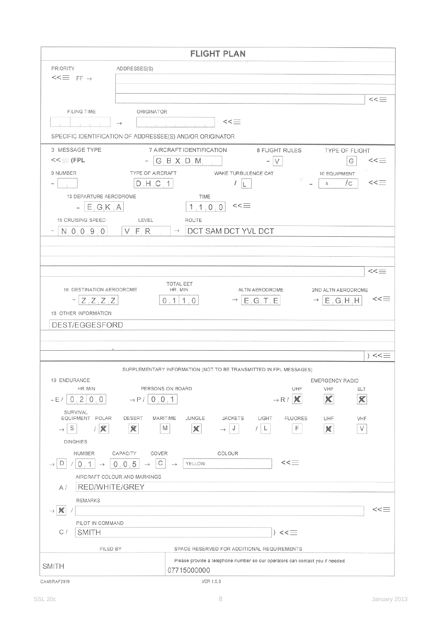|                                                             | <b>FLIGHT PLAN</b>                                                                                                    |
|-------------------------------------------------------------|-----------------------------------------------------------------------------------------------------------------------|
| <b>PRIORITY</b><br>ADDRESSEE(S)                             |                                                                                                                       |
| $<<\equiv$ FF $\rightarrow$                                 |                                                                                                                       |
|                                                             |                                                                                                                       |
|                                                             | $<<\equiv$                                                                                                            |
| <b>FILING TIME</b><br>ORIGINATOR<br>$\rightarrow$           | $<<\equiv$                                                                                                            |
|                                                             |                                                                                                                       |
| SPECIFIC IDENTIFICATION OF ADDRESSEE(S) AND/OR ORIGINATOR   |                                                                                                                       |
| 3 MESSAGE TYPE<br>$<<$ (FPL                                 | 7 AIRCRAFT IDENTIFICATION<br>8 FLIGHT RULES<br>TYPE OF FLIGHT<br>G, B, X, D, M<br>$<< \equiv$<br>$\vee$<br>G          |
| 9 NUMBER<br>TYPE OF AIRCRAFT                                | WAKE TURBULENCE CAT<br>10 EQUIPMENT                                                                                   |
| $D$ , H, C, 1                                               | /c<br>$<< \equiv$<br>S<br>L                                                                                           |
| 13 DEPARTURE AERODROME                                      | TIME                                                                                                                  |
| E, G, K, A                                                  | $<< \equiv$<br>1, 1, 0, 0                                                                                             |
| 15 CRUISING SPEED<br>LEVEL                                  | <b>ROUTE</b>                                                                                                          |
| N, 0, 0, 9, 0<br>V, F, R                                    | DCT SAM DCT YVL DCT<br>$\rightarrow$                                                                                  |
|                                                             |                                                                                                                       |
|                                                             |                                                                                                                       |
|                                                             | $<< =$                                                                                                                |
| 16 DESTINATION AERODROME                                    | TOTAL EET<br>HR. MIN<br>ALTN AERODROME<br>2ND ALTN AERODROME                                                          |
| $-ZZ$ $Z$ $Z$                                               | $<< \equiv$<br>0, 1   1, 0  <br>$\rightarrow$ E <sub>i</sub> G <sub>i</sub> T <sub>i</sub> E<br>$\rightarrow$ E G H H |
| 18 OTHER INFORMATION                                        |                                                                                                                       |
| DEST/EGGESFORD                                              |                                                                                                                       |
|                                                             |                                                                                                                       |
|                                                             |                                                                                                                       |
|                                                             | $) << \equiv$                                                                                                         |
|                                                             | SUPPLEMENTARY INFORMATION (NOT TO BE TRANSMITTED IN FPL MESSAGES)                                                     |
| 19 ENDURANCE<br>HR MIN                                      | EMERGENCY RADIO<br>PERSONS ON BOARD<br>UHF<br>VHF<br>ELT                                                              |
| $\overline{2}$<br>0<br>0<br>– E /<br>0<br>$\rightarrow$ P / | $\mathbf x$<br>X<br>X<br>0, 0, 1<br>$\rightarrow$ R /                                                                 |
| SURVIVAL                                                    |                                                                                                                       |
| EQUIPMENT POLAR<br>DESERT<br>S                              | MARITIME<br>JUNGLE<br><b>JACKETS</b><br>LIGHT<br><b>FLUORES</b><br>UHF<br>VHF<br>F<br>М<br>/ L                        |
| $1 \mathcal{R} $<br>X<br>$\rightarrow$                      | $\chi$<br>V<br>J<br>×                                                                                                 |
| <b>DINGHIES</b>                                             |                                                                                                                       |
| CAPACITY<br>COVER<br>NUMBER<br>С<br>D<br>0, 0, 5<br>0<br>1  | COLOUR<br>$<< \equiv$<br>YELLOW<br>$\rightarrow$                                                                      |
| AIRCRAFT COLOUR AND MARKINGS                                |                                                                                                                       |
| RED/WHITE/GREY<br>A /                                       |                                                                                                                       |
| <b>REMARKS</b>                                              |                                                                                                                       |
| $\chi$<br>$\rightarrow$                                     | $<< \equiv$                                                                                                           |
| PILOT IN COMMAND<br><b>SMITH</b><br>C /                     | $) << \equiv$                                                                                                         |
|                                                             |                                                                                                                       |
| FILED BY                                                    | SPACE RESERVED FOR ADDITIONAL REQUIREMENTS                                                                            |
| <b>SMITH</b>                                                | Please provide a telephone number so our operators can contact you if needed<br>07715000000                           |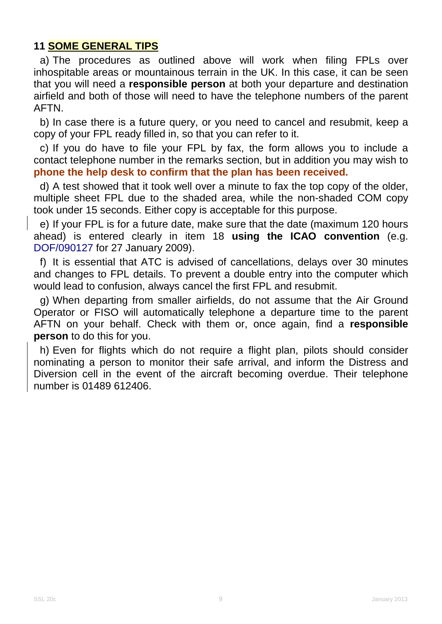## **11 SOME GENERAL TIPS**

a) The procedures as outlined above will work when filing FPLs over inhospitable areas or mountainous terrain in the UK. In this case, it can be seen that you will need a **responsible person** at both your departure and destination airfield and both of those will need to have the telephone numbers of the parent AFTN.

b) In case there is a future query, or you need to cancel and resubmit, keep a copy of your FPL ready filled in, so that you can refer to it.

c) If you do have to file your FPL by fax, the form allows you to include a contact telephone number in the remarks section, but in addition you may wish to **phone the help desk to confirm that the plan has been received.**

d) A test showed that it took well over a minute to fax the top copy of the older, multiple sheet FPL due to the shaded area, while the non-shaded COM copy took under 15 seconds. Either copy is acceptable for this purpose.

e) If your FPL is for a future date, make sure that the date (maximum 120 hours ahead) is entered clearly in item 18 **using the ICAO convention** (e.g. DOF/090127 for 27 January 2009).

f) It is essential that ATC is advised of cancellations, delays over 30 minutes and changes to FPL details. To prevent a double entry into the computer which would lead to confusion, always cancel the first FPL and resubmit.

g) When departing from smaller airfields, do not assume that the Air Ground Operator or FISO will automatically telephone a departure time to the parent AFTN on your behalf. Check with them or, once again, find a **responsible person** to do this for you.

h) Even for flights which do not require a flight plan, pilots should consider nominating a person to monitor their safe arrival, and inform the Distress and Diversion cell in the event of the aircraft becoming overdue. Their telephone number is 01489 612406.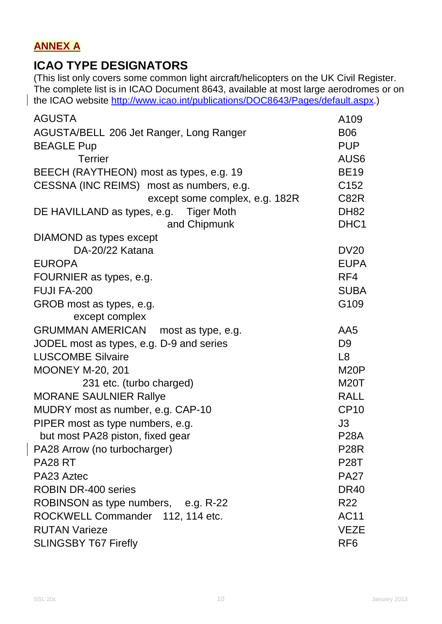## **ANNEX A**

# **ICAO TYPE DESIGNATORS**

(This list only covers some common light aircraft/helicopters on the UK Civil Register. The complete list is in ICAO Document 8643, available at most large aerodromes or on the ICAO website [http://www.icao.int/publications/DOC8643/Pages/default.aspx.](http://www.icao.int/publications/DOC8643/Pages/default.aspx))

| <b>AGUSTA</b>                            | A109              |
|------------------------------------------|-------------------|
| AGUSTA/BELL 206 Jet Ranger, Long Ranger  | <b>B06</b>        |
| <b>BEAGLE Pup</b>                        | <b>PUP</b>        |
| <b>Terrier</b>                           | AUS <sub>6</sub>  |
| BEECH (RAYTHEON) most as types, e.g. 19  | <b>BE19</b>       |
| CESSNA (INC REIMS) most as numbers, e.g. | C <sub>152</sub>  |
| except some complex, e.g. 182R           | C82R              |
| DE HAVILLAND as types, e.g. Tiger Moth   | <b>DH82</b>       |
| and Chipmunk                             | DHC1              |
| DIAMOND as types except                  |                   |
| DA-20/22 Katana                          | <b>DV20</b>       |
| <b>EUROPA</b>                            | <b>EUPA</b>       |
| FOURNIER as types, e.g.                  | RF4               |
| FUJI FA-200                              | <b>SUBA</b>       |
| GROB most as types, e.g.                 | G109              |
| except complex                           |                   |
| GRUMMAN AMERICAN most as type, e.g.      | AA5               |
| JODEL most as types, e.g. D-9 and series | D <sub>9</sub>    |
| <b>LUSCOMBE Silvaire</b>                 | L <sub>8</sub>    |
| <b>MOONEY M-20, 201</b>                  | M <sub>20</sub> P |
| 231 etc. (turbo charged)                 | <b>M20T</b>       |
| <b>MORANE SAULNIER Rallye</b>            | <b>RALL</b>       |
| MUDRY most as number, e.g. CAP-10        | <b>CP10</b>       |
| PIPER most as type numbers, e.g.         | J3                |
| but most PA28 piston, fixed gear         | <b>P28A</b>       |
| PA28 Arrow (no turbocharger)             | <b>P28R</b>       |
| PA28 RT                                  | <b>P28T</b>       |
| PA23 Aztec                               | <b>PA27</b>       |
| <b>ROBIN DR-400 series</b>               | <b>DR40</b>       |
| ROBINSON as type numbers, e.g. R-22      | R22               |
| ROCKWELL Commander 112, 114 etc.         | AC11              |
| <b>RUTAN Varieze</b>                     | <b>VEZE</b>       |
| <b>SLINGSBY T67 Firefly</b>              | RF <sub>6</sub>   |
|                                          |                   |